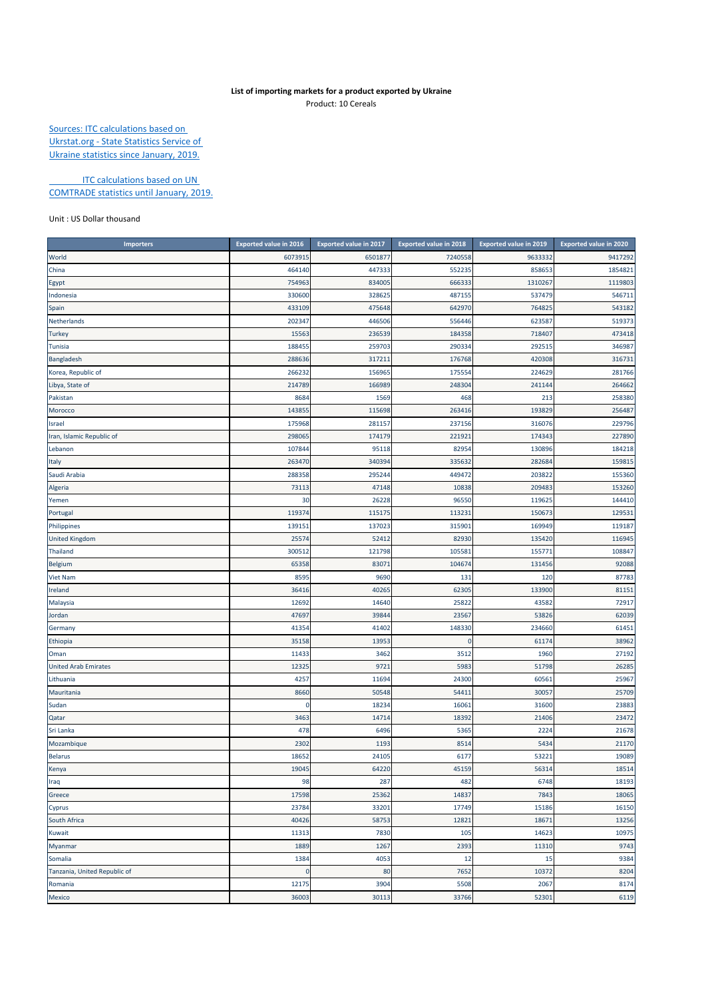## **List of importing markets for a product exported by Ukraine** Product: 10 Cereals

Sources: ITC calculations based on Ukrstat.org ‐ State Statistics Service of Ukraine statistics since January, 2019.

**ITC calculations based on UN** COMTRADE statistics until January, 2019.

Unit : US Dollar thousand

| <b>Importers</b>             | <b>Exported value in 2016</b> | <b>Exported value in 2017</b> | <b>Exported value in 2018</b> | Exported value in 2019 | <b>Exported value in 2020</b> |
|------------------------------|-------------------------------|-------------------------------|-------------------------------|------------------------|-------------------------------|
| World                        | 6073915                       | 6501877                       | 7240558                       | 9633332                | 9417292                       |
| China                        | 464140                        | 447333                        | 552235                        | 858653                 | 1854821                       |
| Egypt                        | 754963                        | 834005                        | 666333                        | 1310267                | 1119803                       |
| Indonesia                    | 330600                        | 328625                        | 487155                        | 537479                 | 546711                        |
| Spain                        | 433109                        | 475648                        | 642970                        | 764825                 | 543182                        |
| Netherlands                  | 202347                        | 446506                        | 556446                        | 623587                 | 519373                        |
| <b>Turkey</b>                | 15563                         | 236539                        | 184358                        | 718407                 | 473418                        |
| <b>Tunisia</b>               | 188455                        | 259703                        | 290334                        | 292515                 | 346987                        |
| Bangladesh                   | 288636                        | 317211                        | 176768                        | 420308                 | 316731                        |
| Korea, Republic of           | 266232                        | 156965                        | 175554                        | 224629                 | 281766                        |
| Libya, State of              | 214789                        | 166989                        | 248304                        | 241144                 | 264662                        |
| Pakistan                     | 8684                          | 1569                          | 468                           | 213                    | 258380                        |
| Morocco                      | 14385                         | 115698                        | 263416                        | 193829                 | 256487                        |
| Israel                       | 175968                        | 281157                        | 237156                        | 316076                 | 229796                        |
| Iran, Islamic Republic of    | 298065                        | 174179                        | 221921                        | 174343                 | 227890                        |
| Lebanon                      | 107844                        | 95118                         | 82954                         | 130896                 | 184218                        |
| Italy                        | 263470                        | 340394                        | 335632                        | 282684                 | 159815                        |
| Saudi Arabia                 | 288358                        | 295244                        | 449472                        | 203822                 | 155360                        |
| Algeria                      | 73113                         | 47148                         | 10838                         | 209483                 | 153260                        |
| Yemen                        | 30                            | 26228                         | 96550                         | 119625                 | 144410                        |
| Portugal                     | 11937                         | 115175                        | 113231                        | 150673                 | 129531                        |
| Philippines                  | 139151                        | 137023                        | 315901                        | 169949                 | 119187                        |
| <b>United Kingdom</b>        | 25574                         | 52412                         | 82930                         | 135420                 | 116945                        |
| <b>Thailand</b>              | 300512                        | 121798                        | 105581                        | 155771                 | 108847                        |
| <b>Belgium</b>               | 65358                         | 83071                         | 104674                        | 131456                 | 92088                         |
| Viet Nam                     | 8595                          | 9690                          | 131                           | 120                    | 87783                         |
| Ireland                      | 36416                         | 40265                         | 62305                         | 133900                 | 81151                         |
| Malaysia                     | 12692                         | 14640                         | 25822                         | 43582                  | 72917                         |
| Jordan                       | 47697                         | 39844                         | 23567                         | 53826                  | 62039                         |
| Germany                      | 41354                         | 41402                         | 148330                        | 234660                 | 61451                         |
| Ethiopia                     | 35158                         | 13953                         | $\mathbf 0$                   | 61174                  | 38962                         |
| Oman                         | 11433                         | 3462                          | 3512                          | 1960                   | 27192                         |
| <b>United Arab Emirates</b>  | 12325                         | 9721                          | 5983                          | 51798                  | 26285                         |
| Lithuania                    | 4257                          | 11694                         | 24300                         | 60561                  | 25967                         |
| Mauritania                   | 8660                          | 50548                         | 54411                         | 30057                  | 25709                         |
| Sudan                        | 0                             | 18234                         | 16061                         | 31600                  | 23883                         |
| Qatar                        | 3463                          | 14714                         | 18392                         | 21406                  | 23472                         |
| Sri Lanka                    | 478                           | 6496                          | 5365                          | 2224                   | 21678                         |
| Mozambique                   | 2302                          | 1193                          | 8514                          | 5434                   | 21170                         |
| <b>Belarus</b>               | 18652                         | 24105                         | 6177                          | 53221                  | 19089                         |
| Kenya                        | 19045                         | 64220                         | 45159                         | 56314                  | 18514                         |
| Iraq                         | 98                            | 287                           | 482                           | 6748                   | 18193                         |
| Greece                       | 17598                         | 25362                         | 14837                         | 7843                   | 18065                         |
| Cyprus                       | 23784                         | 33201                         | 17749                         | 15186                  | 16150                         |
| South Africa                 | 40426                         | 58753                         | 12821                         | 18671                  | 13256                         |
| Kuwait                       | 11313                         | 7830                          | 105                           | 14623                  | 10975                         |
| Myanmar                      | 1889                          | 1267                          | 2393                          | 11310                  | 9743                          |
| Somalia                      | 1384                          | 4053                          | 12                            | 15                     | 9384                          |
| Tanzania, United Republic of | $\mathbf 0$                   | 80                            | 7652                          | 10372                  | 8204                          |
| Romania                      | 12175                         | 3904                          | 5508                          | 2067                   | 8174                          |
| Mexico                       | 36003                         | 30113                         | 33766                         | 52301                  | 6119                          |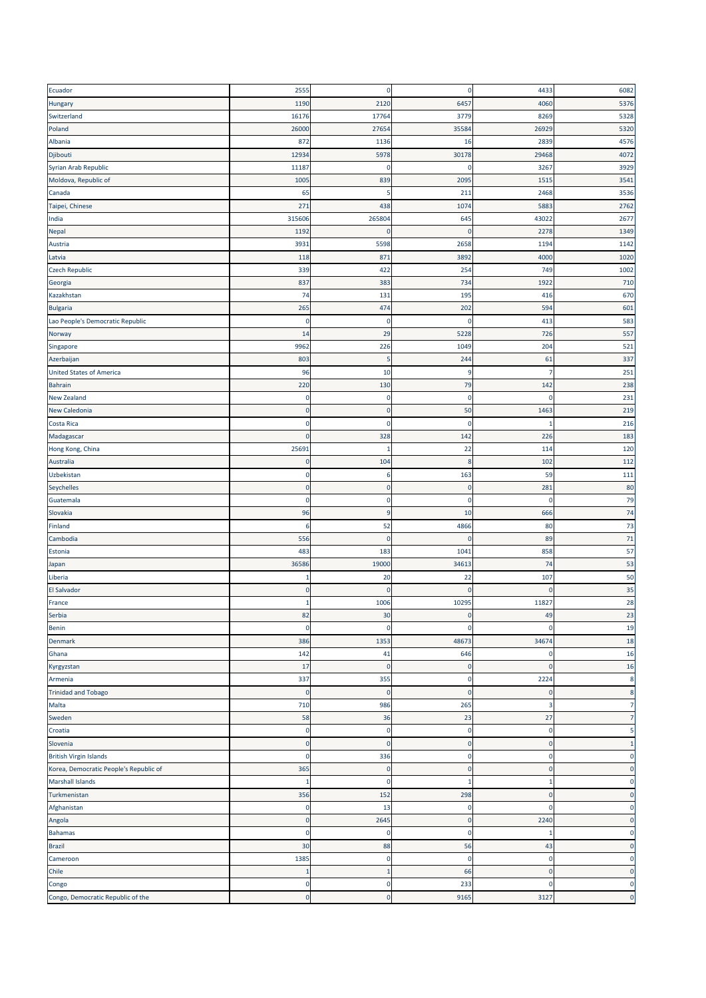| Ecuador                                | 2555         | $\mathbf 0$ | $\pmb{0}$   | 4433         | 6082           |
|----------------------------------------|--------------|-------------|-------------|--------------|----------------|
| Hungary                                | 1190         | 2120        | 6457        | 4060         | 5376           |
| Switzerland                            | 16176        | 17764       | 3779        | 8269         | 5328           |
| Poland                                 | 26000        | 27654       | 35584       | 26929        | 5320           |
| Albania                                | 872          | 1136        | 16          | 2839         | 4576           |
| Djibouti                               | 12934        | 5978        | 30178       | 29468        | 4072           |
| Syrian Arab Republic                   | 11187        | O           | $\mathbf 0$ | 3267         | 3929           |
| Moldova, Republic of                   | 1005         | 839         | 2095        | 1515         | 3541           |
| Canada                                 | 65           | 5           | 211         | 2468         | 3536           |
| Taipei, Chinese                        | 271          | 438         | 1074        | 5883         | 2762           |
| India                                  | 315606       | 265804      | 645         | 43022        | 2677           |
| <b>Nepal</b>                           | 1192         | $\mathbf 0$ | $\mathbf 0$ | 2278         | 1349           |
| Austria                                | 3931         | 5598        | 2658        | 1194         | 1142           |
| Latvia                                 | 118          | 871         | 3892        | 400C         | 1020           |
| <b>Czech Republic</b>                  | 339          | 422         | 254         | 749          | 1002           |
| Georgia                                | 837          | 383         | 734         | 1922         | 710            |
| Kazakhstan                             | 74           | 131         | 195         | 416          | 670            |
| <b>Bulgaria</b>                        | 265          | 474         | 202         | 594          | 601            |
| Lao People's Democratic Republic       | $\mathbf 0$  | 0           | $\mathbf 0$ | 413          | 583            |
| Norway                                 | 14           | 29          | 5228        | 726          | 557            |
| Singapore                              | 9962         | 226         | 1049        | 204          | 521            |
| Azerbaijan                             | 803          | 5           | 244         | 61           | 337            |
| <b>United States of America</b>        | 96           | 10          | 9           |              | 251            |
| <b>Bahrain</b>                         | 220          | 130         | 79          | 142          | 238            |
| New Zealand                            | $\pmb{0}$    | $\pmb{0}$   | $\pmb{0}$   | $\Omega$     | 231            |
| New Caledonia                          | $\pmb{0}$    | $\mathbf 0$ | 50          | 1463         | 219            |
| Costa Rica                             | $\mathbf 0$  | 0           | $\mathbf 0$ |              | 216            |
| Madagascar                             | $\mathbf 0$  | 328         | 142         | 226          | 183            |
| Hong Kong, China                       | 25691        | -1          | 22          | 114          | 120            |
| Australia                              | $\pmb{0}$    | 104         | $\bf 8$     | 102          | 112            |
| Uzbekistan                             | $\bf{0}$     | 6           | 163         | 59           | 111            |
| Seychelles                             | $\pmb{0}$    | $\mathbf 0$ | $\mathbf 0$ | 281          | 80             |
| Guatemala                              | $\mathbf 0$  | $\mathbf 0$ | $\mathbf 0$ | $\Omega$     | 79             |
| Slovakia                               | 96           | 9           | 10          | 666          | 74             |
| Finland                                | 6            | 52          | 4866        | 80           | 73             |
| Cambodia                               | 556          | $\mathbf 0$ | $\mathbf 0$ | 89           | 71             |
| Estonia                                | 483          | 183         | 1041        | 858          | 57             |
| Japan                                  | 36586        | 19000       | 34613       | 74           | 53             |
| Liberia                                | 1            | 20          | 22          | 107          | 50             |
| El Salvador                            | $\pmb{0}$    | $\mathbf 0$ | $\pmb{0}$   | $\Omega$     | 35             |
| France                                 | 1            | 1006        | 10295       | 11827        | 28             |
| Serbia                                 | 82           | 30          | -C          | 49           | 23             |
| Benin                                  | $\mathbf 0$  | 0           | $\mathbf 0$ | $\mathbf{0}$ | 19             |
| Denmark                                | 386          | 1353        | 48673       | 34674        | 18             |
| Ghana                                  | 142          | 41          | 646         | $\mathbf{0}$ | 16             |
| Kyrgyzstan                             | 17           | $\mathbf 0$ | $\mathbf 0$ | $\mathbf 0$  | 16             |
| Armenia                                | 337          | 355         | $\mathbf 0$ | 2224         | 8              |
| <b>Trinidad and Tobago</b>             | $\pmb{0}$    | $\mathbf 0$ | $\mathbf 0$ | $\mathbf{0}$ | 8              |
| Malta                                  | 710          | 986         | 265         | 3            | $\overline{7}$ |
| Sweden                                 | 58           | 36          | 23          | 27           | $\overline{7}$ |
| Croatia                                | $\bf{0}$     | 0           | $\mathbf 0$ | $\mathbf 0$  | 5              |
| Slovenia                               | $\pmb{0}$    | $\mathbf 0$ | $\mathbf 0$ | $\pmb{0}$    | $\mathbf{1}$   |
| <b>British Virgin Islands</b>          | $\mathbf 0$  | 336         | $\mathbf 0$ | $\mathbf 0$  | $\mathbf 0$    |
| Korea, Democratic People's Republic of | 365          | $\mathbf 0$ | $\pmb{0}$   | $\mathbf 0$  | $\mathbf 0$    |
| Marshall Islands                       | $\mathbf{1}$ | $\mathbf 0$ | 1           | 1            | $\mathbf 0$    |
| Turkmenistan                           | 356          | 152         | 298         | $\mathbf 0$  | $\mathbf 0$    |
| Afghanistan                            | $\bf{0}$     | 13          | $\mathbf 0$ | $\mathbf 0$  | 0              |
| Angola                                 | $\pmb{0}$    | 2645        | $\pmb{0}$   | 2240         | $\mathbf 0$    |
| <b>Bahamas</b>                         | $\mathbf 0$  | 0           | $\pmb{0}$   | $\mathbf{1}$ | 0              |
| <b>Brazil</b>                          | 30           | 88          | 56          | 43           | $\mathbf{0}$   |
| Cameroon                               | 1385         | 0           | $\mathbf 0$ | $\mathbf 0$  | 0              |
| Chile                                  | 1            | 1           | 66          | $\bf{0}$     | $\mathbf{0}$   |
| Congo                                  | $\mathbf 0$  | $\mathbf 0$ | 233         | $\mathbf 0$  | $\mathbf 0$    |
| Congo, Democratic Republic of the      | $\pmb{0}$    | $\mathbf 0$ | 9165        | 3127         | $\mathbf 0$    |